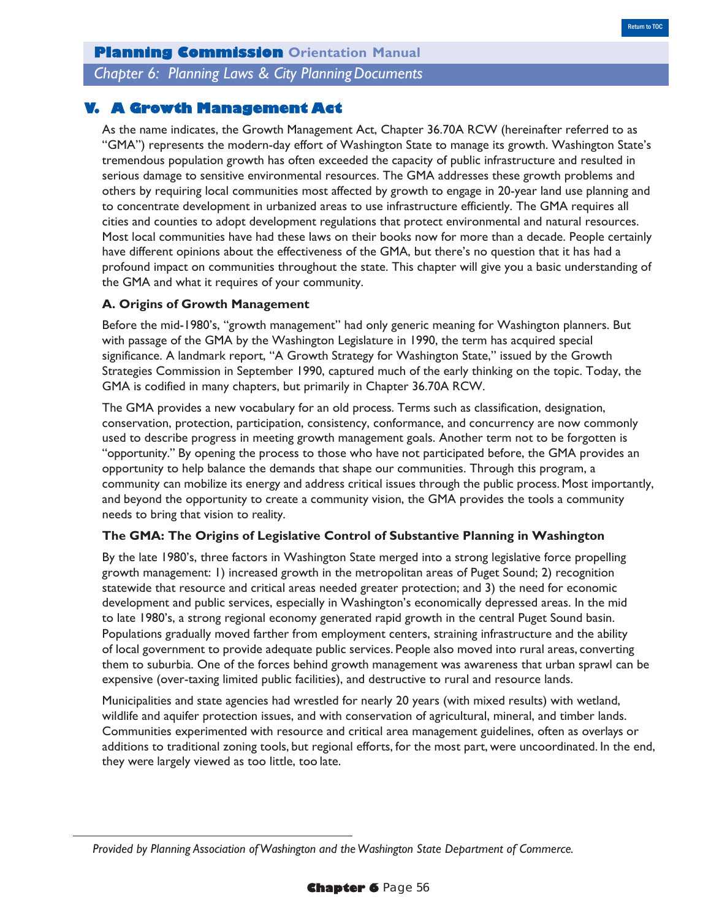*Chapter 6: Planning Laws & City PlanningDocuments*

# **V. A Growth Management Act**

As the name indicates, the Growth Management Act, Chapter 36.70A RCW (hereinafter referred to as "GMA") represents the modern-day effort of Washington State to manage its growth. Washington State's tremendous population growth has often exceeded the capacity of public infrastructure and resulted in serious damage to sensitive environmental resources. The GMA addresses these growth problems and others by requiring local communities most affected by growth to engage in 20-year land use planning and to concentrate development in urbanized areas to use infrastructure efficiently. The GMA requires all cities and counties to adopt development regulations that protect environmental and natural resources. Most local communities have had these laws on their books now for more than a decade. People certainly have different opinions about the effectiveness of the GMA, but there's no question that it has had a profound impact on communities throughout the state. This chapter will give you a basic understanding of the GMA and what it requires of your community.

## **A. Origins of Growth Management**

Before the mid-1980's, "growth management" had only generic meaning for Washington planners. But with passage of the GMA by the Washington Legislature in 1990, the term has acquired special significance. A landmark report, "A Growth Strategy for Washington State," issued by the Growth Strategies Commission in September 1990, captured much of the early thinking on the topic. Today, the GMA is codified in many chapters, but primarily in Chapter 36.70A RCW.

The GMA provides a new vocabulary for an old process. Terms such as classification, designation, conservation, protection, participation, consistency, conformance, and concurrency are now commonly used to describe progress in meeting growth management goals. Another term not to be forgotten is "opportunity." By opening the process to those who have not participated before, the GMA provides an opportunity to help balance the demands that shape our communities. Through this program, a community can mobilize its energy and address critical issues through the public process. Most importantly, and beyond the opportunity to create a community vision, the GMA provides the tools a community needs to bring that vision to reality.

## **The GMA: The Origins of Legislative Control of Substantive Planning in Washington**

By the late 1980's, three factors in Washington State merged into a strong legislative force propelling growth management: 1) increased growth in the metropolitan areas of Puget Sound; 2) recognition statewide that resource and critical areas needed greater protection; and 3) the need for economic development and public services, especially in Washington's economically depressed areas. In the mid to late 1980's, a strong regional economy generated rapid growth in the central Puget Sound basin. Populations gradually moved farther from employment centers, straining infrastructure and the ability of local government to provide adequate public services. People also moved into rural areas, converting them to suburbia. One of the forces behind growth management was awareness that urban sprawl can be expensive (over-taxing limited public facilities), and destructive to rural and resource lands.

Municipalities and state agencies had wrestled for nearly 20 years (with mixed results) with wetland, wildlife and aquifer protection issues, and with conservation of agricultural, mineral, and timber lands. Communities experimented with resource and critical area management guidelines, often as overlays or additions to traditional zoning tools, but regional efforts, for the most part, were uncoordinated. In the end, they were largely viewed as too little, too late.

*Provided by Planning Association ofWashington and theWashington State Department of Commerce.*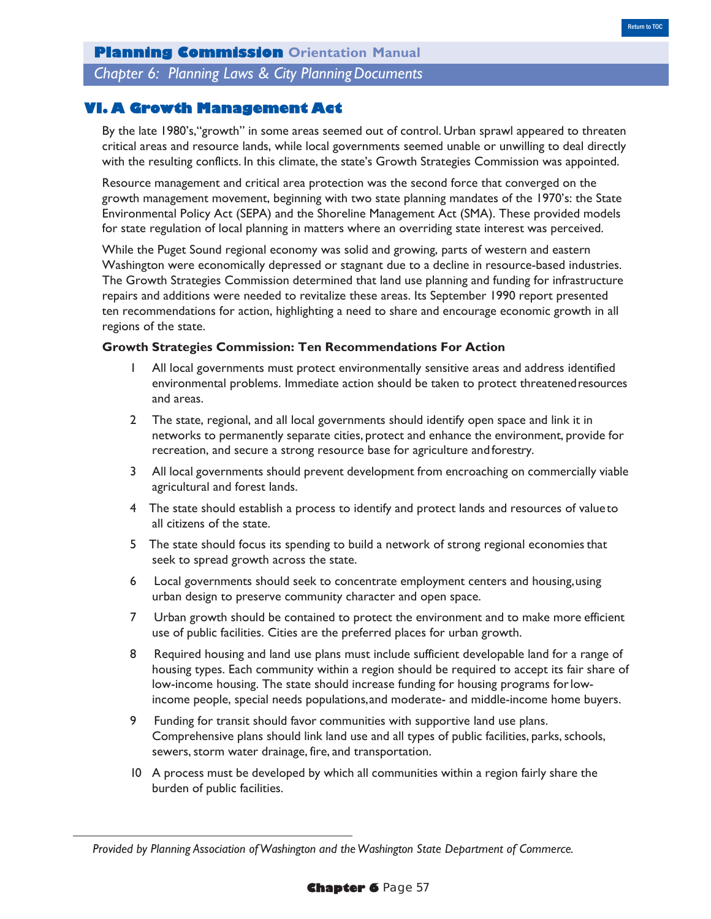*Chapter 6: Planning Laws & City PlanningDocuments*

## **VI. A Growth Management Act**

By the late 1980's,"growth" in some areas seemed out of control. Urban sprawl appeared to threaten critical areas and resource lands, while local governments seemed unable or unwilling to deal directly with the resulting conflicts. In this climate, the state's Growth Strategies Commission was appointed.

Resource management and critical area protection was the second force that converged on the growth management movement, beginning with two state planning mandates of the 1970's: the State Environmental Policy Act (SEPA) and the Shoreline Management Act (SMA). These provided models for state regulation of local planning in matters where an overriding state interest was perceived.

While the Puget Sound regional economy was solid and growing, parts of western and eastern Washington were economically depressed or stagnant due to a decline in resource-based industries. The Growth Strategies Commission determined that land use planning and funding for infrastructure repairs and additions were needed to revitalize these areas. Its September 1990 report presented ten recommendations for action, highlighting a need to share and encourage economic growth in all regions of the state.

#### **Growth Strategies Commission: Ten Recommendations For Action**

- 1 All local governments must protect environmentally sensitive areas and address identified environmental problems. Immediate action should be taken to protect threatened resources and areas.
- 2 The state, regional, and all local governments should identify open space and link it in networks to permanently separate cities, protect and enhance the environment, provide for recreation, and secure a strong resource base for agriculture and forestry.
- 3 All local governments should prevent development from encroaching on commercially viable agricultural and forest lands.
- 4 The state should establish a process to identify and protect lands and resources of value to all citizens of the state.
- 5 The state should focus its spending to build a network of strong regional economies that seek to spread growth across the state.
- 6 Local governments should seek to concentrate employment centers and housing, using urban design to preserve community character and open space.
- 7 Urban growth should be contained to protect the environment and to make more efficient use of public facilities. Cities are the preferred places for urban growth.
- 8 Required housing and land use plans must include sufficient developable land for a range of housing types. Each community within a region should be required to accept its fair share of low-income housing. The state should increase funding for housing programs for lowincome people, special needs populations, and moderate- and middle-income home buyers.
- 9 Funding for transit should favor communities with supportive land use plans. Comprehensive plans should link land use and all types of public facilities, parks, schools, sewers, storm water drainage, fire, and transportation.
- 10 A process must be developed by which all communities within a region fairly share the burden of public facilities.

*Provided by Planning Association ofWashington and theWashington State Department of Commerce.*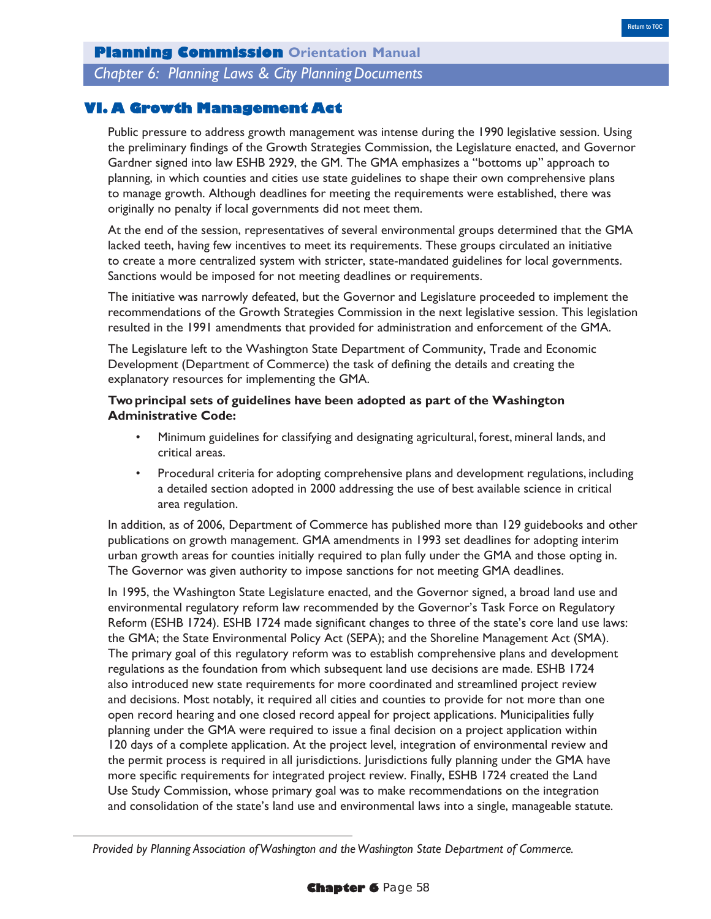*Chapter 6: Planning Laws & City PlanningDocuments*

## **VI. A Growth Management Act**

Public pressure to address growth management was intense during the 1990 legislative session. Using the preliminary findings of the Growth Strategies Commission, the Legislature enacted, and Governor Gardner signed into law ESHB 2929, the GM. The GMA emphasizes a "bottoms up" approach to planning, in which counties and cities use state guidelines to shape their own comprehensive plans to manage growth. Although deadlines for meeting the requirements were established, there was originally no penalty if local governments did not meet them.

At the end of the session, representatives of several environmental groups determined that the GMA lacked teeth, having few incentives to meet its requirements. These groups circulated an initiative to create a more centralized system with stricter, state-mandated guidelines for local governments. Sanctions would be imposed for not meeting deadlines or requirements.

The initiative was narrowly defeated, but the Governor and Legislature proceeded to implement the recommendations of the Growth Strategies Commission in the next legislative session. This legislation resulted in the 1991 amendments that provided for administration and enforcement of the GMA.

The Legislature left to the Washington State Department of Community, Trade and Economic Development (Department of Commerce) the task of defining the details and creating the explanatory resources for implementing the GMA.

## **Two principal sets of guidelines have been adopted as part of the Washington Administrative Code:**

- Minimum guidelines for classifying and designating agricultural, forest, mineral lands, and critical areas.
- Procedural criteria for adopting comprehensive plans and development regulations, including a detailed section adopted in 2000 addressing the use of best available science in critical area regulation.

In addition, as of 2006, Department of Commerce has published more than 129 guidebooks and other publications on growth management. GMA amendments in 1993 set deadlines for adopting interim urban growth areas for counties initially required to plan fully under the GMA and those opting in. The Governor was given authority to impose sanctions for not meeting GMA deadlines.

In 1995, the Washington State Legislature enacted, and the Governor signed, a broad land use and environmental regulatory reform law recommended by the Governor's Task Force on Regulatory Reform (ESHB 1724). ESHB 1724 made significant changes to three of the state's core land use laws: the GMA; the State Environmental Policy Act (SEPA); and the Shoreline Management Act (SMA). The primary goal of this regulatory reform was to establish comprehensive plans and development regulations as the foundation from which subsequent land use decisions are made. ESHB 1724 also introduced new state requirements for more coordinated and streamlined project review and decisions. Most notably, it required all cities and counties to provide for not more than one open record hearing and one closed record appeal for project applications. Municipalities fully planning under the GMA were required to issue a final decision on a project application within 120 days of a complete application. At the project level, integration of environmental review and the permit process is required in all jurisdictions. Jurisdictions fully planning under the GMA have more specific requirements for integrated project review. Finally, ESHB 1724 created the Land Use Study Commission, whose primary goal was to make recommendations on the integration and consolidation of the state's land use and environmental laws into a single, manageable statute.

*Provided by Planning Association ofWashington and theWashington State Department of Commerce.*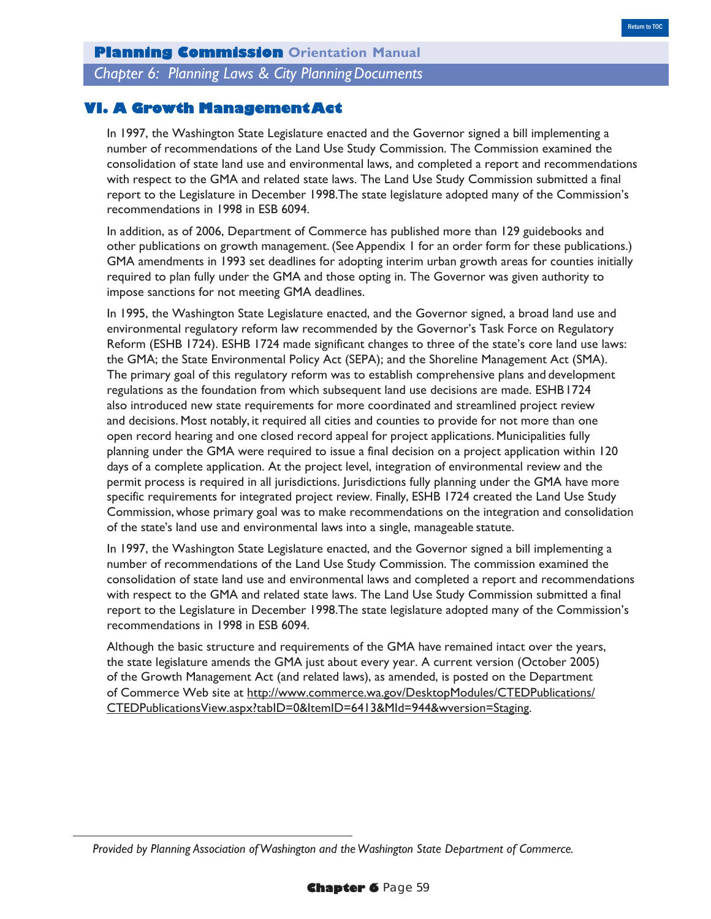*Chapter 6: Planning Laws & City PlanningDocuments*

## **VI. A Growth Management Act**

In 1997, the Washington State Legislature enacted and the Governor signed a bill implementing a number of recommendations of the Land Use Study Commission. The Commission examined the consolidation of state land use and environmental laws, and completed a report and recommendations with respect to the GMA and related state laws. The Land Use Study Commission submitted a final report to the Legislature in December 1998.The state legislature adopted many of the Commission's recommendations in 1998 in ESB 6094.

In addition, as of 2006, Department of Commerce has published more than 129 guidebooks and other publications on growth management. (See Appendix 1 for an order form for these publications.) GMA amendments in 1993 set deadlines for adopting interim urban growth areas for counties initially required to plan fully under the GMA and those opting in. The Governor was given authority to impose sanctions for not meeting GMA deadlines.

In 1995, the Washington State Legislature enacted, and the Governor signed, a broad land use and environmental regulatory reform law recommended by the Governor's Task Force on Regulatory Reform (ESHB 1724). ESHB 1724 made significant changes to three of the state's core land use laws: the GMA; the State Environmental Policy Act (SEPA); and the Shoreline Management Act (SMA). The primary goal of this regulatory reform was to establish comprehensive plans and development regulations as the foundation from which subsequent land use decisions are made. ESHB 1724 also introduced new state requirements for more coordinated and streamlined project review and decisions. Most notably, it required all cities and counties to provide for not more than one open record hearing and one closed record appeal for project applications. Municipalities fully planning under the GMA were required to issue a final decision on a project application within 120 days of a complete application. At the project level, integration of environmental review and the permit process is required in all jurisdictions. Jurisdictions fully planning under the GMA have more specific requirements for integrated project review. Finally, ESHB 1724 created the Land Use Study Commission, whose primary goal was to make recommendations on the integration and consolidation of the state's land use and environmental laws into a single, manageable statute.

In 1997, the Washington State Legislature enacted, and the Governor signed a bill implementing a number of recommendations of the Land Use Study Commission. The commission examined the consolidation of state land use and environmental laws and completed a report and recommendations with respect to the GMA and related state laws. The Land Use Study Commission submitted a final report to the Legislature in December 1998.The state legislature adopted many of the Commission's recommendations in 1998 in ESB 6094.

Although the basic structure and requirements of the GMA have remained intact over the years, the state legislature amends the GMA just about every year. A current version (October 2005) of the Growth Management Act (and related laws), as amended, is posted on the Department of Commerce Web site at http://www.commerce.wa.gov/DesktopModules/CTEDPublications/ CTEDPublicationsView.aspx?tabID=0&ItemID=6413&MId=944&wversion=Staging.

*Provided by Planning Association ofWashington and theWashington State Department of Commerce.*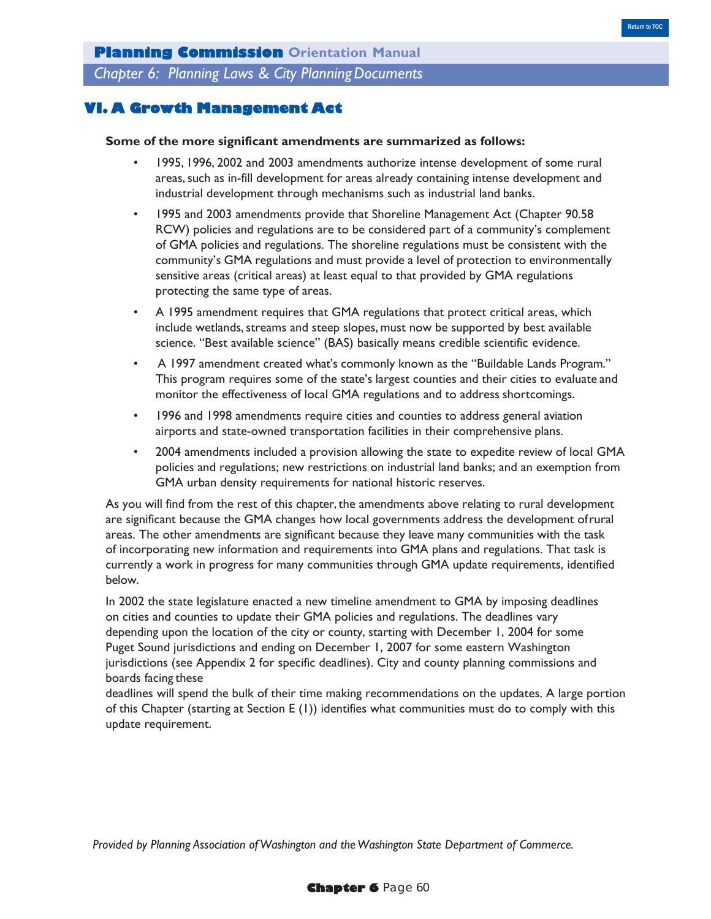*Chapter 6: Planning Laws & City PlanningDocuments*

## **VI. A Growth Management Act**

#### **Some of the more significant amendments are summarized as follows:**

- 1995, 1996, 2002 and 2003 amendments authorize intense development of some rural areas, such as in-fill development for areas already containing intense development and industrial development through mechanisms such as industrial land banks.
- 1995 and 2003 amendments provide that Shoreline Management Act (Chapter 90.58 RCW) policies and regulations are to be considered part of a community's complement of GMA policies and regulations. The shoreline regulations must be consistent with the community's GMA regulations and must provide a level of protection to environmentally sensitive areas (critical areas) at least equal to that provided by GMA regulations protecting the same type of areas.
- A 1995 amendment requires that GMA regulations that protect critical areas, which include wetlands, streams and steep slopes, must now be supported by best available science. "Best available science" (BAS) basically means credible scientific evidence.
- A 1997 amendment created what's commonly known as the "Buildable Lands Program." This program requires some of the state's largest counties and their cities to evaluate and monitor the effectiveness of local GMA regulations and to address shortcomings.
- 1996 and 1998 amendments require cities and counties to address general aviation airports and state-owned transportation facilities in their comprehensive plans.
- 2004 amendments included a provision allowing the state to expedite review of local GMA policies and regulations; new restrictions on industrial land banks; and an exemption from GMA urban density requirements for national historic reserves.

As you will find from the rest of this chapter, the amendments above relating to rural development are significant because the GMA changes how local governments address the development of rural areas. The other amendments are significant because they leave many communities with the task of incorporating new information and requirements into GMA plans and regulations. That task is currently a work in progress for many communities through GMA update requirements, identified below.

In 2002 the state legislature enacted a new timeline amendment to GMA by imposing deadlines on cities and counties to update their GMA policies and regulations. The deadlines vary depending upon the location of the city or county, starting with December 1, 2004 for some Puget Sound jurisdictions and ending on December 1, 2007 for some eastern Washington jurisdictions (see Appendix 2 for specific deadlines). City and county planning commissions and boards facing these

deadlines will spend the bulk of their time making recommendations on the updates. A large portion of this Chapter (starting at Section E (1)) identifies what communities must do to comply with this update requirement.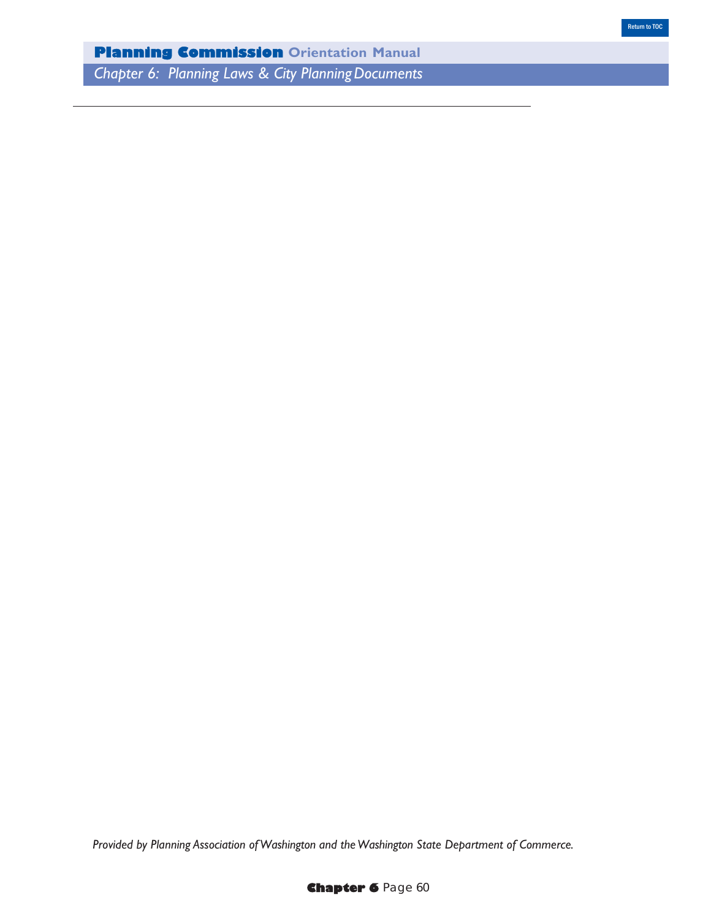*Chapter 6: Planning Laws & City PlanningDocuments*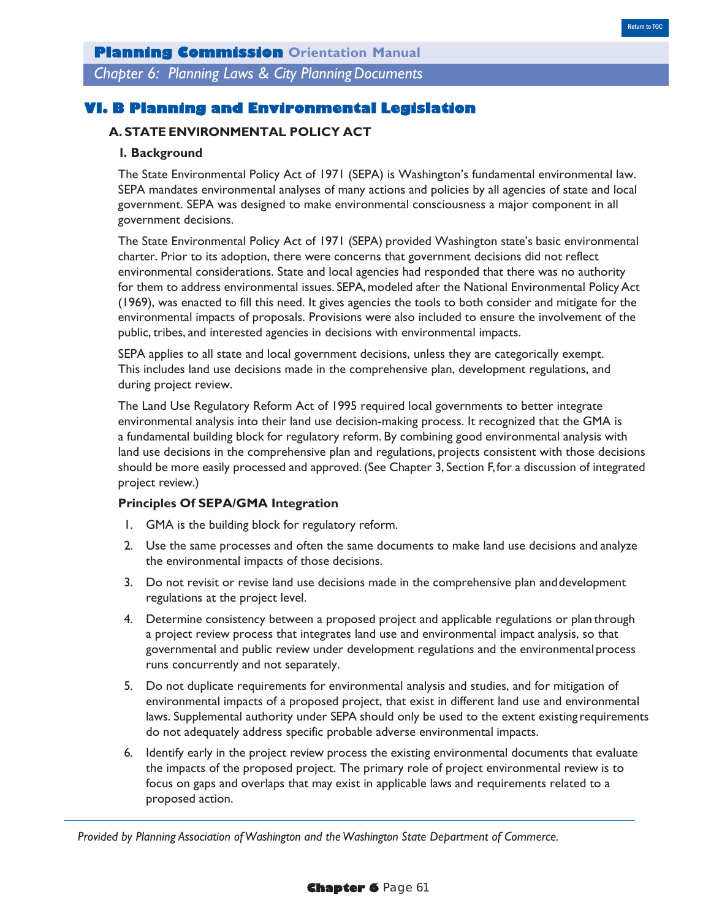*Chapter 6: Planning Laws & City PlanningDocuments*

## **VI. B Planning and Environmental Legislation**

#### **A. STATE ENVIRONMENTAL POLICY ACT**

#### **1. Background**

The State Environmental Policy Act of 1971 (SEPA) is Washington's fundamental environmental law. SEPA mandates environmental analyses of many actions and policies by all agencies of state and local government. SEPA was designed to make environmental consciousness a major component in all government decisions.

The State Environmental Policy Act of 1971 (SEPA) provided Washington state's basic environmental charter. Prior to its adoption, there were concerns that government decisions did not reflect environmental considerations. State and local agencies had responded that there was no authority for them to address environmental issues. SEPA, modeled after the National Environmental Policy Act (1969), was enacted to fill this need. It gives agencies the tools to both consider and mitigate for the environmental impacts of proposals. Provisions were also included to ensure the involvement of the public, tribes, and interested agencies in decisions with environmental impacts.

SEPA applies to all state and local government decisions, unless they are categorically exempt. This includes land use decisions made in the comprehensive plan, development regulations, and during project review.

The Land Use Regulatory Reform Act of 1995 required local governments to better integrate environmental analysis into their land use decision-making process. It recognized that the GMA is a fundamental building block for regulatory reform. By combining good environmental analysis with land use decisions in the comprehensive plan and regulations, projects consistent with those decisions should be more easily processed and approved. (See Chapter 3, Section F, for a discussion of integrated project review.)

#### **Principles Of SEPA/GMA Integration**

- 1. GMA is the building block for regulatory reform.
- 2. Use the same processes and often the same documents to make land use decisions and analyze the environmental impacts of those decisions.
- 3. Do not revisit or revise land use decisions made in the comprehensive plan and development regulations at the project level.
- 4. Determine consistency between a proposed project and applicable regulations or plan through a project review process that integrates land use and environmental impact analysis, so that governmental and public review under development regulations and the environmental process runs concurrently and not separately.
- 5. Do not duplicate requirements for environmental analysis and studies, and for mitigation of environmental impacts of a proposed project, that exist in different land use and environmental laws. Supplemental authority under SEPA should only be used to the extent existing requirements do not adequately address specific probable adverse environmental impacts.
- 6. Identify early in the project review process the existing environmental documents that evaluate the impacts of the proposed project. The primary role of project environmental review is to focus on gaps and overlaps that may exist in applicable laws and requirements related to a proposed action.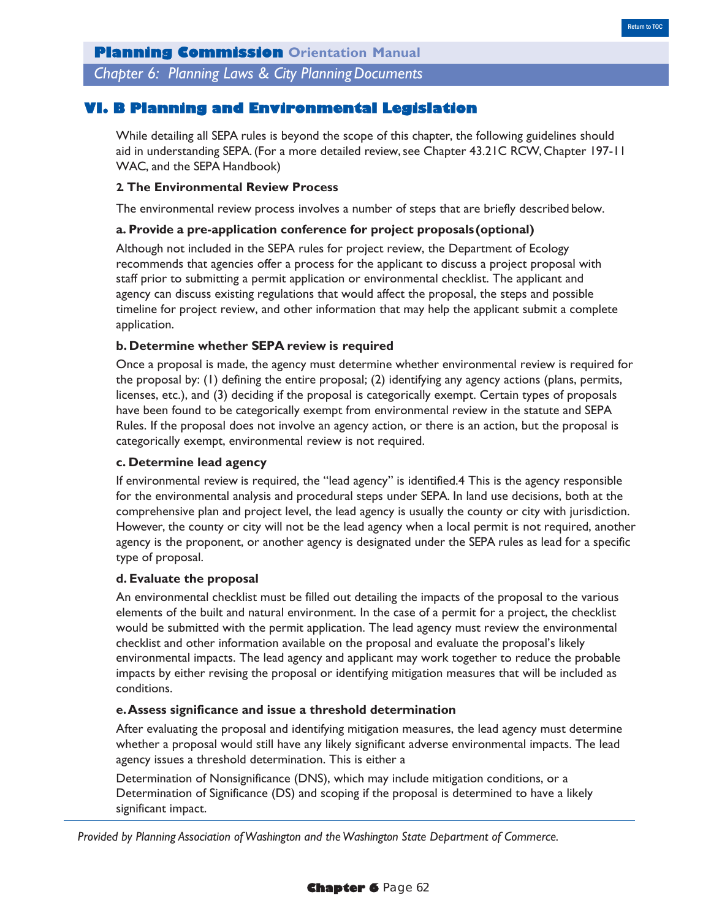*Chapter 6: Planning Laws & City PlanningDocuments*

## **VI. B Planning and Environmental Legislation**

While detailing all SEPA rules is beyond the scope of this chapter, the following guidelines should aid in understanding SEPA. (For a more detailed review, see Chapter 43.21C RCW, Chapter 197-11 WAC, and the SEPA Handbook)

#### **2. The Environmental Review Process**

The environmental review process involves a number of steps that are briefly described below.

## **a. Provide a pre-application conference for project proposals (optional)**

Although not included in the SEPA rules for project review, the Department of Ecology recommends that agencies offer a process for the applicant to discuss a project proposal with staff prior to submitting a permit application or environmental checklist. The applicant and agency can discuss existing regulations that would affect the proposal, the steps and possible timeline for project review, and other information that may help the applicant submit a complete application.

## **b. Determine whether SEPA review is required**

Once a proposal is made, the agency must determine whether environmental review is required for the proposal by: (1) defining the entire proposal; (2) identifying any agency actions (plans, permits, licenses, etc.), and (3) deciding if the proposal is categorically exempt. Certain types of proposals have been found to be categorically exempt from environmental review in the statute and SEPA Rules. If the proposal does not involve an agency action, or there is an action, but the proposal is categorically exempt, environmental review is not required.

## **c. Determine lead agency**

If environmental review is required, the "lead agency" is identified.4 This is the agency responsible for the environmental analysis and procedural steps under SEPA. In land use decisions, both at the comprehensive plan and project level, the lead agency is usually the county or city with jurisdiction. However, the county or city will not be the lead agency when a local permit is not required, another agency is the proponent, or another agency is designated under the SEPA rules as lead for a specific type of proposal.

## **d. Evaluate the proposal**

An environmental checklist must be filled out detailing the impacts of the proposal to the various elements of the built and natural environment. In the case of a permit for a project, the checklist would be submitted with the permit application. The lead agency must review the environmental checklist and other information available on the proposal and evaluate the proposal's likely environmental impacts. The lead agency and applicant may work together to reduce the probable impacts by either revising the proposal or identifying mitigation measures that will be included as conditions.

## **e.Assess significance and issue a threshold determination**

After evaluating the proposal and identifying mitigation measures, the lead agency must determine whether a proposal would still have any likely significant adverse environmental impacts. The lead agency issues a threshold determination. This is either a

Determination of Nonsignificance (DNS), which may include mitigation conditions, or a Determination of Significance (DS) and scoping if the proposal is determined to have a likely significant impact.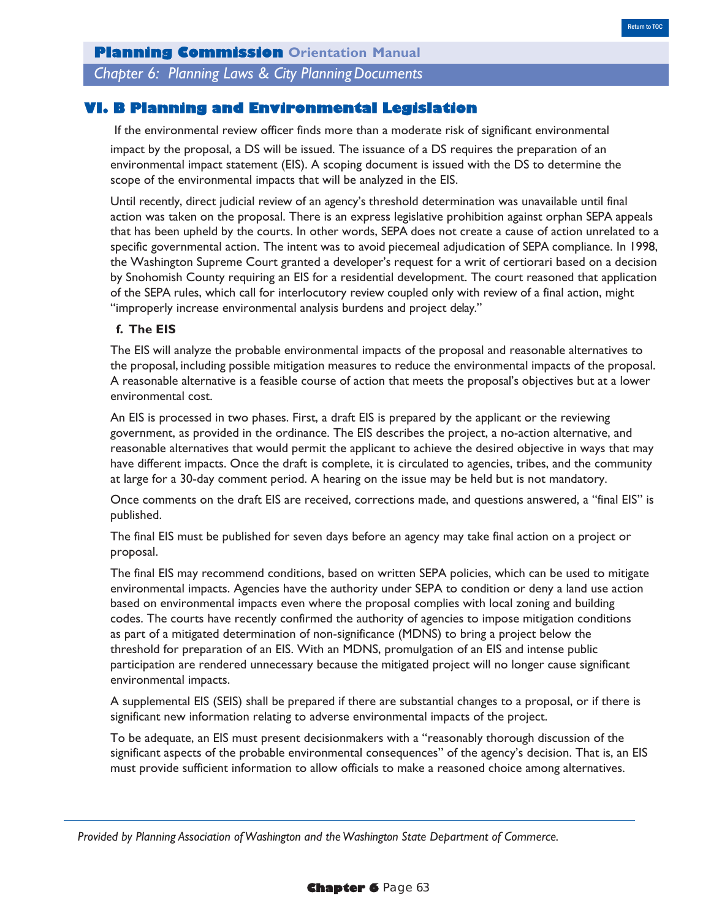*Chapter 6: Planning Laws & City PlanningDocuments*

## **VI. B Planning and Environmental Legislation**

If the environmental review officer finds more than a moderate risk of significant environmental impact by the proposal, a DS will be issued. The issuance of a DS requires the preparation of an environmental impact statement (EIS). A scoping document is issued with the DS to determine the scope of the environmental impacts that will be analyzed in the EIS.

Until recently, direct judicial review of an agency's threshold determination was unavailable until final action was taken on the proposal. There is an express legislative prohibition against orphan SEPA appeals that has been upheld by the courts. In other words, SEPA does not create a cause of action unrelated to a specific governmental action. The intent was to avoid piecemeal adjudication of SEPA compliance. In 1998, the Washington Supreme Court granted a developer's request for a writ of certiorari based on a decision by Snohomish County requiring an EIS for a residential development. The court reasoned that application of the SEPA rules, which call for interlocutory review coupled only with review of a final action, might "improperly increase environmental analysis burdens and project delay."

## **f. The EIS**

The EIS will analyze the probable environmental impacts of the proposal and reasonable alternatives to the proposal, including possible mitigation measures to reduce the environmental impacts of the proposal. A reasonable alternative is a feasible course of action that meets the proposal's objectives but at a lower environmental cost.

An EIS is processed in two phases. First, a draft EIS is prepared by the applicant or the reviewing government, as provided in the ordinance. The EIS describes the project, a no-action alternative, and reasonable alternatives that would permit the applicant to achieve the desired objective in ways that may have different impacts. Once the draft is complete, it is circulated to agencies, tribes, and the community at large for a 30-day comment period. A hearing on the issue may be held but is not mandatory.

Once comments on the draft EIS are received, corrections made, and questions answered, a "final EIS" is published.

The final EIS must be published for seven days before an agency may take final action on a project or proposal.

The final EIS may recommend conditions, based on written SEPA policies, which can be used to mitigate environmental impacts. Agencies have the authority under SEPA to condition or deny a land use action based on environmental impacts even where the proposal complies with local zoning and building codes. The courts have recently confirmed the authority of agencies to impose mitigation conditions as part of a mitigated determination of non-significance (MDNS) to bring a project below the threshold for preparation of an EIS. With an MDNS, promulgation of an EIS and intense public participation are rendered unnecessary because the mitigated project will no longer cause significant environmental impacts.

A supplemental EIS (SEIS) shall be prepared if there are substantial changes to a proposal, or if there is significant new information relating to adverse environmental impacts of the project.

To be adequate, an EIS must present decisionmakers with a "reasonably thorough discussion of the significant aspects of the probable environmental consequences" of the agency's decision. That is, an EIS must provide sufficient information to allow officials to make a reasoned choice among alternatives.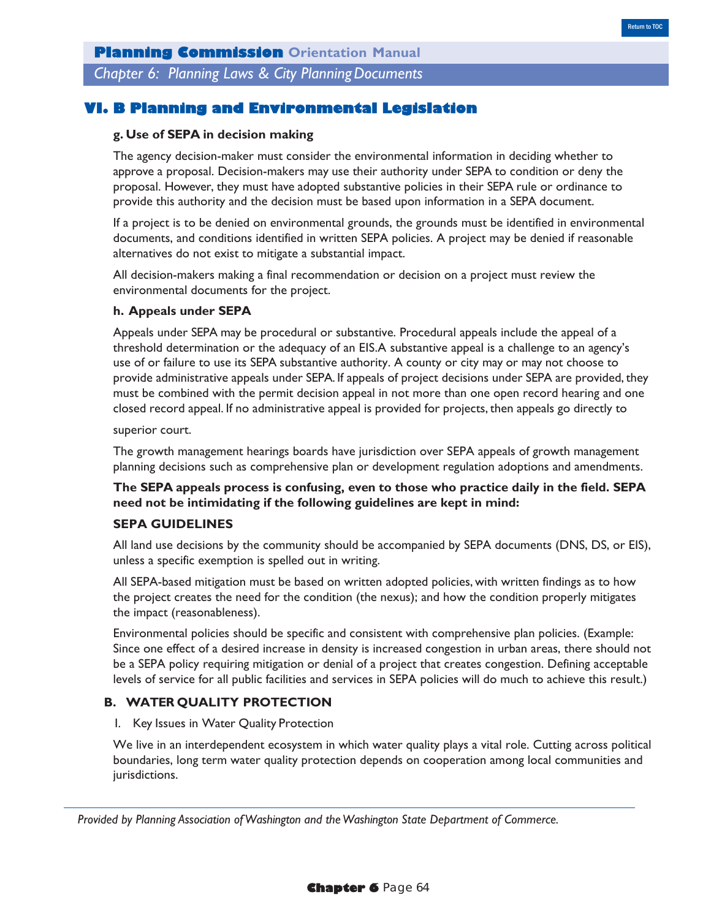*Chapter 6: Planning Laws & City PlanningDocuments*

## **VI. B Planning and Environmental Legislation**

#### **g. Use of SEPA in decision making**

The agency decision-maker must consider the environmental information in deciding whether to approve a proposal. Decision-makers may use their authority under SEPA to condition or deny the proposal. However, they must have adopted substantive policies in their SEPA rule or ordinance to provide this authority and the decision must be based upon information in a SEPA document.

If a project is to be denied on environmental grounds, the grounds must be identified in environmental documents, and conditions identified in written SEPA policies. A project may be denied if reasonable alternatives do not exist to mitigate a substantial impact.

All decision-makers making a final recommendation or decision on a project must review the environmental documents for the project.

#### **h. Appeals under SEPA**

Appeals under SEPA may be procedural or substantive. Procedural appeals include the appeal of a threshold determination or the adequacy of an EIS.A substantive appeal is a challenge to an agency's use of or failure to use its SEPA substantive authority. A county or city may or may not choose to provide administrative appeals under SEPA. If appeals of project decisions under SEPA are provided, they must be combined with the permit decision appeal in not more than one open record hearing and one closed record appeal. If no administrative appeal is provided for projects, then appeals go directly to

superior court.

The growth management hearings boards have jurisdiction over SEPA appeals of growth management planning decisions such as comprehensive plan or development regulation adoptions and amendments.

## **The SEPA appeals process is confusing, even to those who practice daily in the field. SEPA need not be intimidating if the following guidelines are kept in mind:**

#### **SEPA GUIDELINES**

All land use decisions by the community should be accompanied by SEPA documents (DNS, DS, or EIS), unless a specific exemption is spelled out in writing.

All SEPA-based mitigation must be based on written adopted policies, with written findings as to how the project creates the need for the condition (the nexus); and how the condition properly mitigates the impact (reasonableness).

Environmental policies should be specific and consistent with comprehensive plan policies. (Example: Since one effect of a desired increase in density is increased congestion in urban areas, there should not be a SEPA policy requiring mitigation or denial of a project that creates congestion. Defining acceptable levels of service for all public facilities and services in SEPA policies will do much to achieve this result.)

## **B. WATER QUALITY PROTECTION**

#### 1. Key Issues in Water Quality Protection

We live in an interdependent ecosystem in which water quality plays a vital role. Cutting across political boundaries, long term water quality protection depends on cooperation among local communities and jurisdictions.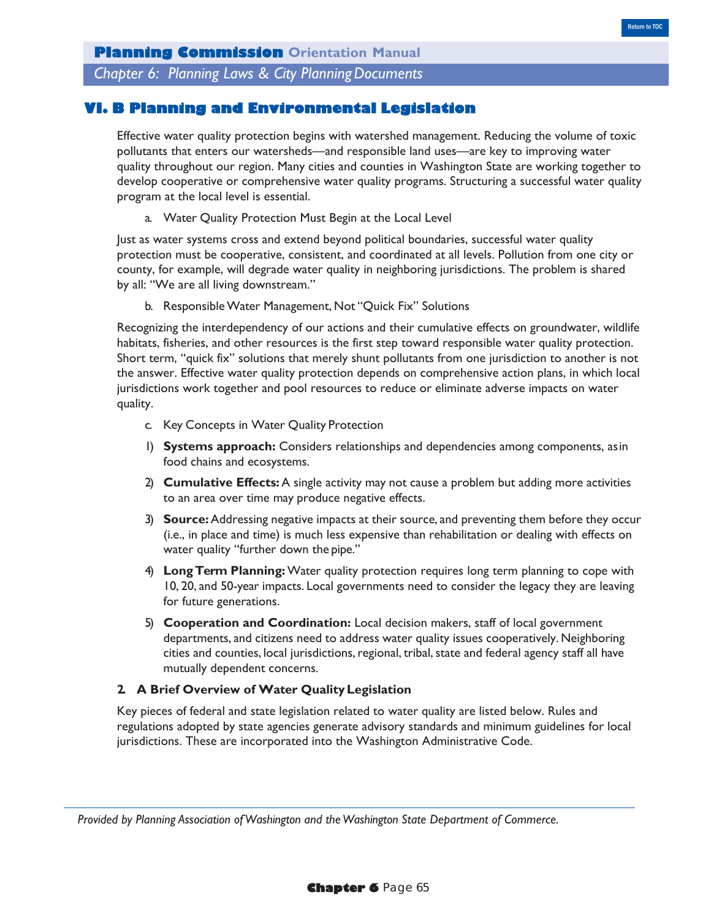*Chapter 6: Planning Laws & City PlanningDocuments*

## **VI. B Planning and Environmental Legislation**

Effective water quality protection begins with watershed management. Reducing the volume of toxic pollutants that enters our watersheds—and responsible land uses—are key to improving water quality throughout our region. Many cities and counties in Washington State are working together to develop cooperative or comprehensive water quality programs. Structuring a successful water quality program at the local level is essential.

a. Water Quality Protection Must Begin at the Local Level

Just as water systems cross and extend beyond political boundaries, successful water quality protection must be cooperative, consistent, and coordinated at all levels. Pollution from one city or county, for example, will degrade water quality in neighboring jurisdictions. The problem is shared by all: "We are all living downstream."

b. Responsible Water Management, Not "Quick Fix" Solutions

Recognizing the interdependency of our actions and their cumulative effects on groundwater, wildlife habitats, fisheries, and other resources is the first step toward responsible water quality protection. Short term, "quick fix" solutions that merely shunt pollutants from one jurisdiction to another is not the answer. Effective water quality protection depends on comprehensive action plans, in which local jurisdictions work together and pool resources to reduce or eliminate adverse impacts on water quality.

- c. Key Concepts in Water Quality Protection
- 1) **Systems approach:** Considers relationships and dependencies among components, as in food chains and ecosystems.
- 2) **Cumulative Effects:** A single activity may not cause a problem but adding more activities to an area over time may produce negative effects.
- 3) **Source:** Addressing negative impacts at their source, and preventing them before they occur (i.e., in place and time) is much less expensive than rehabilitation or dealing with effects on water quality "further down the pipe."
- 4) **Long Term Planning:** Water quality protection requires long term planning to cope with 10, 20, and 50-year impacts. Local governments need to consider the legacy they are leaving for future generations.
- 5) **Cooperation and Coordination:** Local decision makers, staff of local government departments, and citizens need to address water quality issues cooperatively. Neighboring cities and counties, local jurisdictions, regional, tribal, state and federal agency staff all have mutually dependent concerns.

#### **2. A Brief Overview of Water Quality Legislation**

Key pieces of federal and state legislation related to water quality are listed below. Rules and regulations adopted by state agencies generate advisory standards and minimum guidelines for local jurisdictions. These are incorporated into the Washington Administrative Code.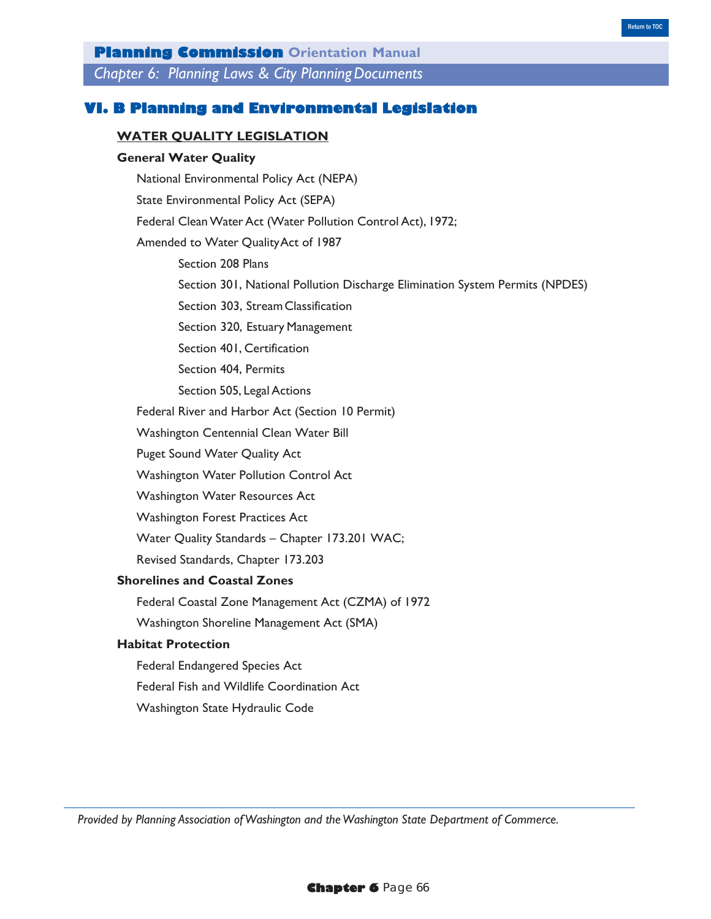*Chapter 6: Planning Laws & City PlanningDocuments*

## **VI. B Planning and Environmental Legislation**

## **WATER QUALITY LEGISLATION**

#### **General Water Quality**

National Environmental Policy Act (NEPA) State Environmental Policy Act (SEPA) Federal Clean Water Act (Water Pollution Control Act), 1972; Amended to Water Quality Act of 1987 Section 208 Plans Section 301, National Pollution Discharge Elimination System Permits (NPDES) Section 303, Stream Classification Section 320, Estuary Management Section 401, Certification Section 404, Permits Section 505, Legal Actions Federal River and Harbor Act (Section 10 Permit) Washington Centennial Clean Water Bill Puget Sound Water Quality Act Washington Water Pollution Control Act Washington Water Resources Act Washington Forest Practices Act Water Quality Standards – Chapter 173.201 WAC; Revised Standards, Chapter 173.203 **Shorelines and Coastal Zones** Federal Coastal Zone Management Act (CZMA) of 1972 Washington Shoreline Management Act (SMA) **Habitat Protection** Federal Endangered Species Act Federal Fish and Wildlife Coordination Act

Washington State Hydraulic Code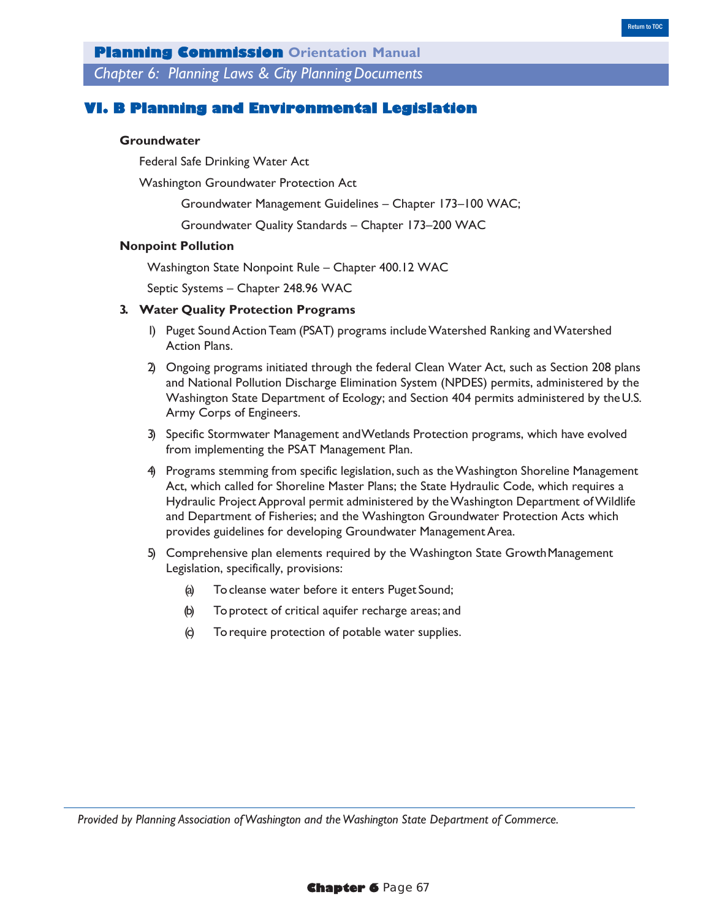*Chapter 6: Planning Laws & City PlanningDocuments*

## **VI. B Planning and Environmental Legislation**

#### **Groundwater**

Federal Safe Drinking Water Act

Washington Groundwater Protection Act

Groundwater Management Guidelines – Chapter 173–100 WAC;

Groundwater Quality Standards – Chapter 173–200 WAC

#### **Nonpoint Pollution**

Washington State Nonpoint Rule – Chapter 400.12 WAC

Septic Systems – Chapter 248.96 WAC

#### **3. Water Quality Protection Programs**

- 1) Puget Sound Action Team (PSAT) programs include Watershed Ranking and Watershed Action Plans.
- 2) Ongoing programs initiated through the federal Clean Water Act, such as Section 208 plans and National Pollution Discharge Elimination System (NPDES) permits, administered by the Washington State Department of Ecology; and Section 404 permits administered by the U.S. Army Corps of Engineers.
- 3) Specific Stormwater Management and Wetlands Protection programs, which have evolved from implementing the PSAT Management Plan.
- 4) Programs stemming from specific legislation, such as the Washington Shoreline Management Act, which called for Shoreline Master Plans; the State Hydraulic Code, which requires a Hydraulic Project Approval permit administered by the Washington Department of Wildlife and Department of Fisheries; and the Washington Groundwater Protection Acts which provides guidelines for developing Groundwater Management Area.
- 5) Comprehensive plan elements required by the Washington State Growth Management Legislation, specifically, provisions:
	- (a) To cleanse water before it enters Puget Sound;
	- (b) To protect of critical aquifer recharge areas; and
	- (c) To require protection of potable water supplies.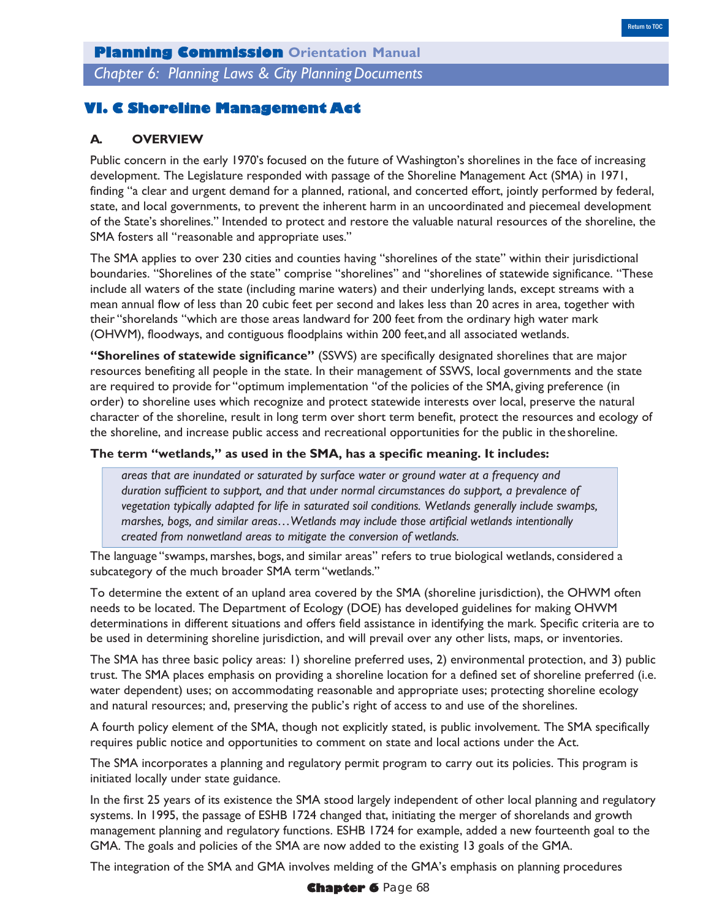*Chapter 6: Planning Laws & City PlanningDocuments*

## **VI. C Shoreline Management Act**

#### **A. OVERVIEW**

Public concern in the early 1970's focused on the future of Washington's shorelines in the face of increasing development. The Legislature responded with passage of the Shoreline Management Act (SMA) in 1971, finding "a clear and urgent demand for a planned, rational, and concerted effort, jointly performed by federal, state, and local governments, to prevent the inherent harm in an uncoordinated and piecemeal development of the State's shorelines." Intended to protect and restore the valuable natural resources of the shoreline, the SMA fosters all "reasonable and appropriate uses."

The SMA applies to over 230 cities and counties having "shorelines of the state" within their jurisdictional boundaries. "Shorelines of the state" comprise "shorelines" and "shorelines of statewide significance. "These include all waters of the state (including marine waters) and their underlying lands, except streams with a mean annual flow of less than 20 cubic feet per second and lakes less than 20 acres in area, together with their "shorelands "which are those areas landward for 200 feet from the ordinary high water mark (OHWM), floodways, and contiguous floodplains within 200 feet, and all associated wetlands.

**"Shorelines of statewide significance"** (SSWS) are specifically designated shorelines that are major resources benefiting all people in the state. In their management of SSWS, local governments and the state are required to provide for "optimum implementation "of the policies of the SMA, giving preference (in order) to shoreline uses which recognize and protect statewide interests over local, preserve the natural character of the shoreline, result in long term over short term benefit, protect the resources and ecology of the shoreline, and increase public access and recreational opportunities for the public in the shoreline.

#### **The term "wetlands," as used in the SMA, has a specific meaning. It includes:**

*areas that are inundated or saturated by surface water or ground water at a frequency and duration sufficient to support, and that under normal circumstances do support, a prevalence of vegetation typically adapted for life in saturated soil conditions. Wetlands generally include swamps, marshes, bogs, and similar areas…Wetlands may include those artificial wetlands intentionally created from nonwetland areas to mitigate the conversion of wetlands.*

The language "swamps, marshes, bogs, and similar areas" refers to true biological wetlands, considered a subcategory of the much broader SMA term "wetlands."

To determine the extent of an upland area covered by the SMA (shoreline jurisdiction), the OHWM often needs to be located. The Department of Ecology (DOE) has developed guidelines for making OHWM determinations in different situations and offers field assistance in identifying the mark. Specific criteria are to be used in determining shoreline jurisdiction, and will prevail over any other lists, maps, or inventories.

The SMA has three basic policy areas: 1) shoreline preferred uses, 2) environmental protection, and 3) public trust. The SMA places emphasis on providing a shoreline location for a defined set of shoreline preferred (i.e. water dependent) uses; on accommodating reasonable and appropriate uses; protecting shoreline ecology and natural resources; and, preserving the public's right of access to and use of the shorelines.

A fourth policy element of the SMA, though not explicitly stated, is public involvement. The SMA specifically requires public notice and opportunities to comment on state and local actions under the Act.

The SMA incorporates a planning and regulatory permit program to carry out its policies. This program is initiated locally under state guidance.

In the first 25 years of its existence the SMA stood largely independent of other local planning and regulatory systems. In 1995, the passage of ESHB 1724 changed that, initiating the merger of shorelands and growth management planning and regulatory functions. ESHB 1724 for example, added a new fourteenth goal to the GMA. The goals and policies of the SMA are now added to the existing 13 goals of the GMA.

The integration of the SMA and GMA involves melding of the GMA's emphasis on planning procedures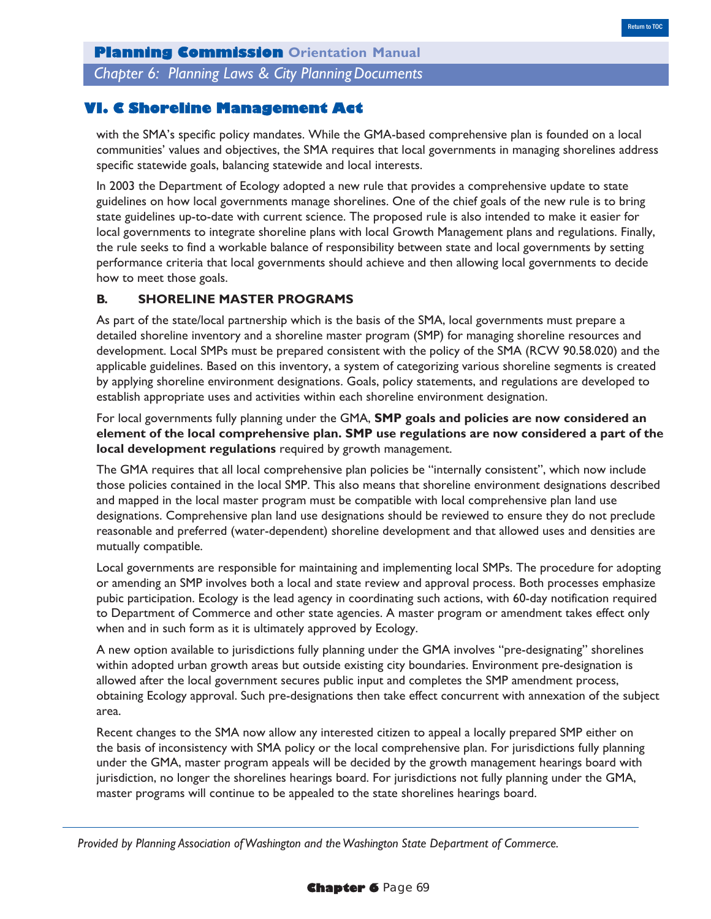*Chapter 6: Planning Laws & City PlanningDocuments*

## **VI. C Shoreline Management Act**

with the SMA's specific policy mandates. While the GMA-based comprehensive plan is founded on a local communities' values and objectives, the SMA requires that local governments in managing shorelines address specific statewide goals, balancing statewide and local interests.

In 2003 the Department of Ecology adopted a new rule that provides a comprehensive update to state guidelines on how local governments manage shorelines. One of the chief goals of the new rule is to bring state guidelines up-to-date with current science. The proposed rule is also intended to make it easier for local governments to integrate shoreline plans with local Growth Management plans and regulations. Finally, the rule seeks to find a workable balance of responsibility between state and local governments by setting performance criteria that local governments should achieve and then allowing local governments to decide how to meet those goals.

## **B. SHORELINE MASTER PROGRAMS**

As part of the state/local partnership which is the basis of the SMA, local governments must prepare a detailed shoreline inventory and a shoreline master program (SMP) for managing shoreline resources and development. Local SMPs must be prepared consistent with the policy of the SMA (RCW 90.58.020) and the applicable guidelines. Based on this inventory, a system of categorizing various shoreline segments is created by applying shoreline environment designations. Goals, policy statements, and regulations are developed to establish appropriate uses and activities within each shoreline environment designation.

For local governments fully planning under the GMA, **SMP goals and policies are now considered an element of the local comprehensive plan. SMP use regulations are now considered a part of the local development regulations** required by growth management.

The GMA requires that all local comprehensive plan policies be "internally consistent", which now include those policies contained in the local SMP. This also means that shoreline environment designations described and mapped in the local master program must be compatible with local comprehensive plan land use designations. Comprehensive plan land use designations should be reviewed to ensure they do not preclude reasonable and preferred (water-dependent) shoreline development and that allowed uses and densities are mutually compatible.

Local governments are responsible for maintaining and implementing local SMPs. The procedure for adopting or amending an SMP involves both a local and state review and approval process. Both processes emphasize pubic participation. Ecology is the lead agency in coordinating such actions, with 60-day notification required to Department of Commerce and other state agencies. A master program or amendment takes effect only when and in such form as it is ultimately approved by Ecology.

A new option available to jurisdictions fully planning under the GMA involves "pre-designating" shorelines within adopted urban growth areas but outside existing city boundaries. Environment pre-designation is allowed after the local government secures public input and completes the SMP amendment process, obtaining Ecology approval. Such pre-designations then take effect concurrent with annexation of the subject area.

Recent changes to the SMA now allow any interested citizen to appeal a locally prepared SMP either on the basis of inconsistency with SMA policy or the local comprehensive plan. For jurisdictions fully planning under the GMA, master program appeals will be decided by the growth management hearings board with jurisdiction, no longer the shorelines hearings board. For jurisdictions not fully planning under the GMA, master programs will continue to be appealed to the state shorelines hearings board.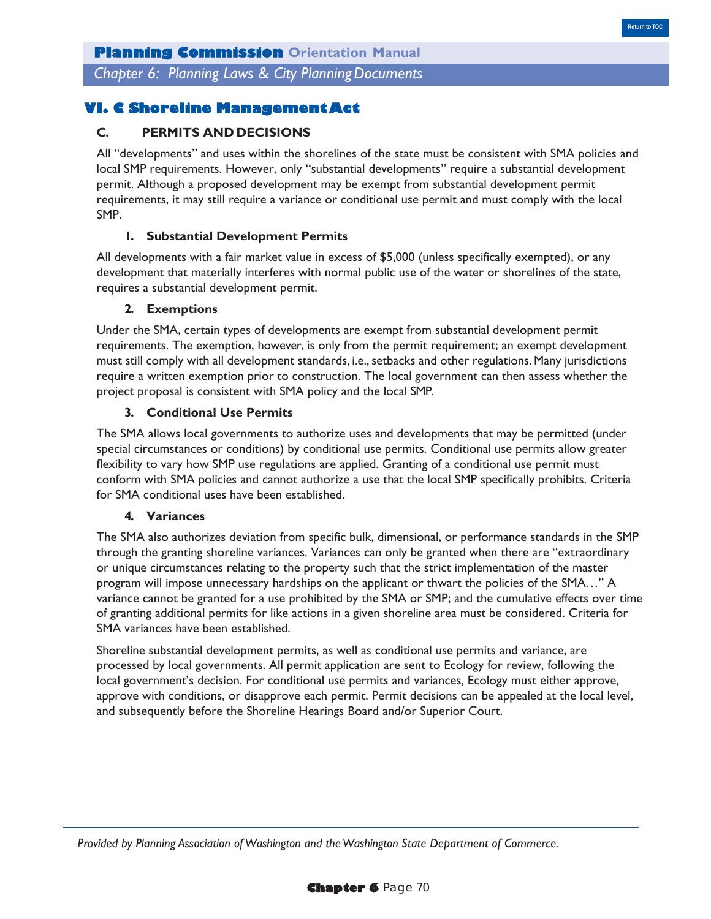*Chapter 6: Planning Laws & City PlanningDocuments*

# **VI. C Shoreline Management Act**

## **C. PERMITS AND DECISIONS**

All "developments" and uses within the shorelines of the state must be consistent with SMA policies and local SMP requirements. However, only "substantial developments" require a substantial development permit. Although a proposed development may be exempt from substantial development permit requirements, it may still require a variance or conditional use permit and must comply with the local SMP.

## **1. Substantial Development Permits**

All developments with a fair market value in excess of \$5,000 (unless specifically exempted), or any development that materially interferes with normal public use of the water or shorelines of the state, requires a substantial development permit.

## **2. Exemptions**

Under the SMA, certain types of developments are exempt from substantial development permit requirements. The exemption, however, is only from the permit requirement; an exempt development must still comply with all development standards, i.e., setbacks and other regulations. Many jurisdictions require a written exemption prior to construction. The local government can then assess whether the project proposal is consistent with SMA policy and the local SMP.

## **3. Conditional Use Permits**

The SMA allows local governments to authorize uses and developments that may be permitted (under special circumstances or conditions) by conditional use permits. Conditional use permits allow greater flexibility to vary how SMP use regulations are applied. Granting of a conditional use permit must conform with SMA policies and cannot authorize a use that the local SMP specifically prohibits. Criteria for SMA conditional uses have been established.

## **4. Variances**

The SMA also authorizes deviation from specific bulk, dimensional, or performance standards in the SMP through the granting shoreline variances. Variances can only be granted when there are "extraordinary or unique circumstances relating to the property such that the strict implementation of the master program will impose unnecessary hardships on the applicant or thwart the policies of the SMA…" A variance cannot be granted for a use prohibited by the SMA or SMP; and the cumulative effects over time of granting additional permits for like actions in a given shoreline area must be considered. Criteria for SMA variances have been established.

Shoreline substantial development permits, as well as conditional use permits and variance, are processed by local governments. All permit application are sent to Ecology for review, following the local government's decision. For conditional use permits and variances, Ecology must either approve, approve with conditions, or disapprove each permit. Permit decisions can be appealed at the local level, and subsequently before the Shoreline Hearings Board and/or Superior Court.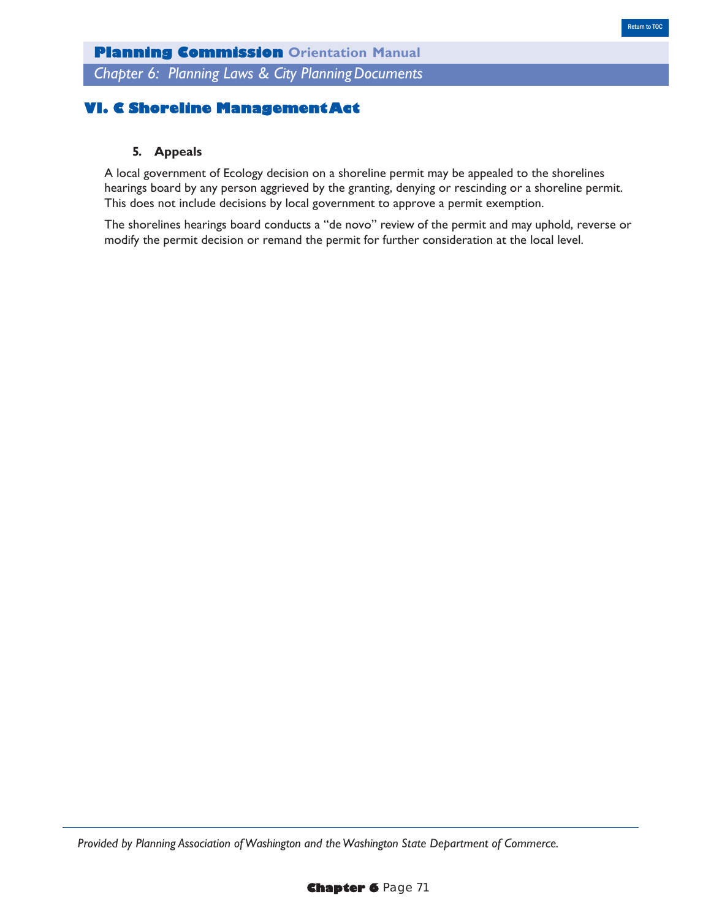*Chapter 6: Planning Laws & City PlanningDocuments*

# **VI. C Shoreline Management Act**

## **5. Appeals**

A local government of Ecology decision on a shoreline permit may be appealed to the shorelines hearings board by any person aggrieved by the granting, denying or rescinding or a shoreline permit. This does not include decisions by local government to approve a permit exemption.

The shorelines hearings board conducts a "de novo" review of the permit and may uphold, reverse or modify the permit decision or remand the permit for further consideration at the local level.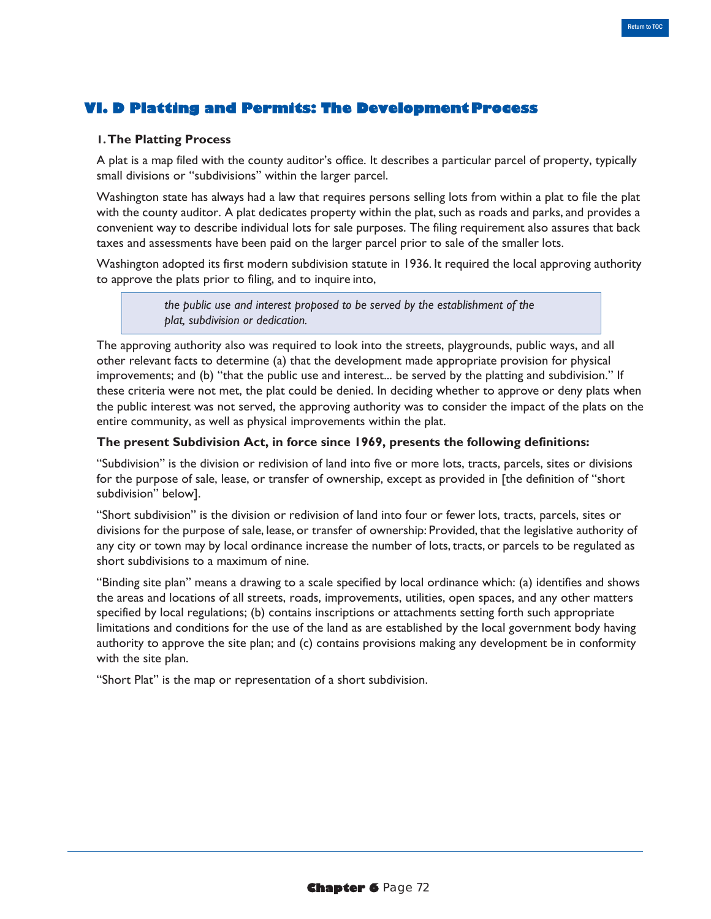# **VI. D Platting and Permits: The Development Process**

## **1.The Platting Process**

A plat is a map filed with the county auditor's office. It describes a particular parcel of property, typically small divisions or "subdivisions" within the larger parcel.

Washington state has always had a law that requires persons selling lots from within a plat to file the plat with the county auditor. A plat dedicates property within the plat, such as roads and parks, and provides a convenient way to describe individual lots for sale purposes. The filing requirement also assures that back taxes and assessments have been paid on the larger parcel prior to sale of the smaller lots.

Washington adopted its first modern subdivision statute in 1936. It required the local approving authority to approve the plats prior to filing, and to inquire into,

> *the public use and interest proposed to be served by the establishment of the plat, subdivision or dedication.*

The approving authority also was required to look into the streets, playgrounds, public ways, and all other relevant facts to determine (a) that the development made appropriate provision for physical improvements; and (b) "that the public use and interest... be served by the platting and subdivision." If these criteria were not met, the plat could be denied. In deciding whether to approve or deny plats when the public interest was not served, the approving authority was to consider the impact of the plats on the entire community, as well as physical improvements within the plat.

## **The present Subdivision Act, in force since 1969, presents the following definitions:**

"Subdivision" is the division or redivision of land into five or more lots, tracts, parcels, sites or divisions for the purpose of sale, lease, or transfer of ownership, except as provided in [the definition of "short subdivision" below].

"Short subdivision" is the division or redivision of land into four or fewer lots, tracts, parcels, sites or divisions for the purpose of sale, lease, or transfer of ownership: Provided, that the legislative authority of any city or town may by local ordinance increase the number of lots, tracts, or parcels to be regulated as short subdivisions to a maximum of nine.

"Binding site plan" means a drawing to a scale specified by local ordinance which: (a) identifies and shows the areas and locations of all streets, roads, improvements, utilities, open spaces, and any other matters specified by local regulations; (b) contains inscriptions or attachments setting forth such appropriate limitations and conditions for the use of the land as are established by the local government body having authority to approve the site plan; and (c) contains provisions making any development be in conformity with the site plan.

"Short Plat" is the map or representation of a short subdivision.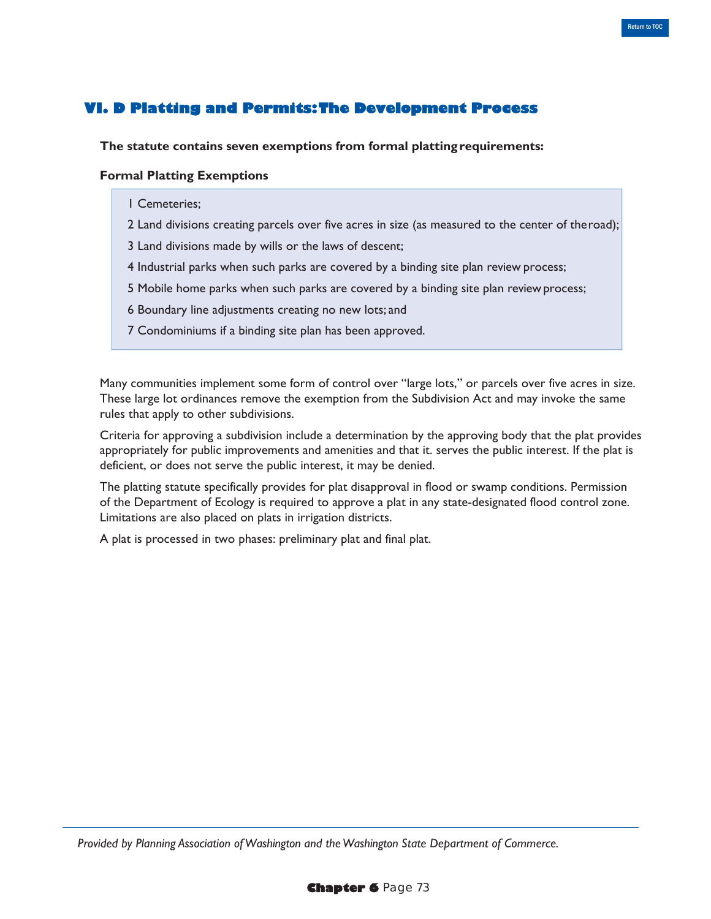# **VI. D Platting and Permits: The Development Process**

**The statute contains seven exemptions from formal platting requirements:** 

## **Formal Platting Exemptions**

- 1 Cemeteries;
- 2 Land divisions creating parcels over five acres in size (as measured to the center of the road);
- 3 Land divisions made by wills or the laws of descent;
- 4 Industrial parks when such parks are covered by a binding site plan review process;
- 5 Mobile home parks when such parks are covered by a binding site plan review process;
- 6 Boundary line adjustments creating no new lots; and
- 7 Condominiums if a binding site plan has been approved.

Many communities implement some form of control over "large lots," or parcels over five acres in size. These large lot ordinances remove the exemption from the Subdivision Act and may invoke the same rules that apply to other subdivisions.

Criteria for approving a subdivision include a determination by the approving body that the plat provides appropriately for public improvements and amenities and that it. serves the public interest. If the plat is deficient, or does not serve the public interest, it may be denied.

The platting statute specifically provides for plat disapproval in flood or swamp conditions. Permission of the Department of Ecology is required to approve a plat in any state-designated flood control zone. Limitations are also placed on plats in irrigation districts.

A plat is processed in two phases: preliminary plat and final plat.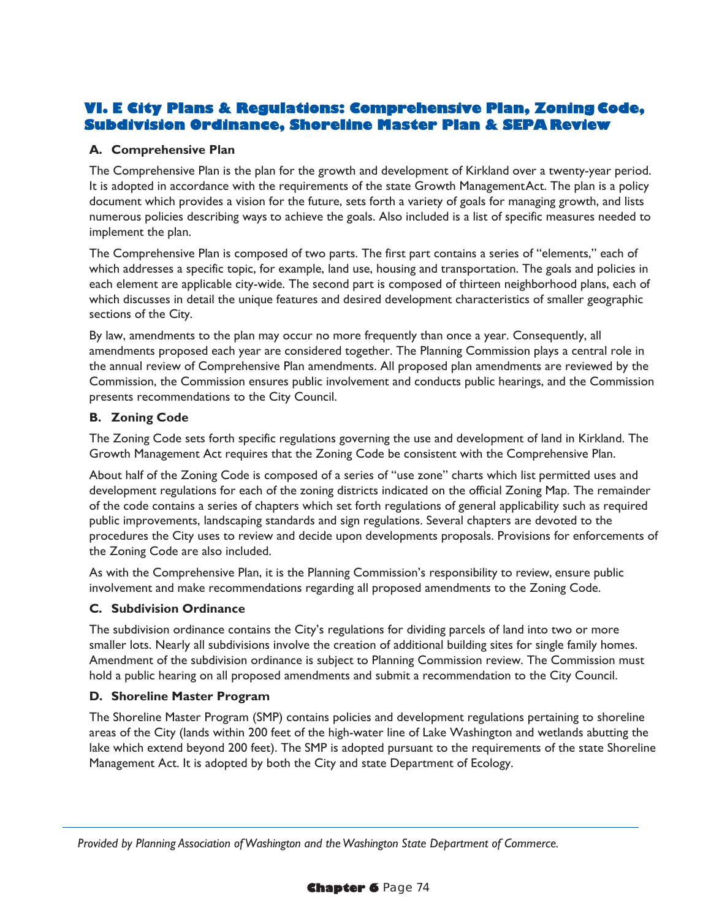# **VI. E City Plans & Regulations: Comprehensive Plan, Zoning Code, Subdivision Ordinance, Shoreline Master Plan & SEPA Review**

# **A. Comprehensive Plan**

The Comprehensive Plan is the plan for the growth and development of Kirkland over a twenty-year period. It is adopted in accordance with the requirements of the state Growth Management Act. The plan is a policy document which provides a vision for the future, sets forth a variety of goals for managing growth, and lists numerous policies describing ways to achieve the goals. Also included is a list of specific measures needed to implement the plan.

The Comprehensive Plan is composed of two parts. The first part contains a series of "elements," each of which addresses a specific topic, for example, land use, housing and transportation. The goals and policies in each element are applicable city-wide. The second part is composed of thirteen neighborhood plans, each of which discusses in detail the unique features and desired development characteristics of smaller geographic sections of the City.

By law, amendments to the plan may occur no more frequently than once a year. Consequently, all amendments proposed each year are considered together. The Planning Commission plays a central role in the annual review of Comprehensive Plan amendments. All proposed plan amendments are reviewed by the Commission, the Commission ensures public involvement and conducts public hearings, and the Commission presents recommendations to the City Council.

# **B. Zoning Code**

The Zoning Code sets forth specific regulations governing the use and development of land in Kirkland. The Growth Management Act requires that the Zoning Code be consistent with the Comprehensive Plan.

About half of the Zoning Code is composed of a series of "use zone" charts which list permitted uses and development regulations for each of the zoning districts indicated on the official Zoning Map. The remainder of the code contains a series of chapters which set forth regulations of general applicability such as required public improvements, landscaping standards and sign regulations. Several chapters are devoted to the procedures the City uses to review and decide upon developments proposals. Provisions for enforcements of the Zoning Code are also included.

As with the Comprehensive Plan, it is the Planning Commission's responsibility to review, ensure public involvement and make recommendations regarding all proposed amendments to the Zoning Code.

# **C. Subdivision Ordinance**

The subdivision ordinance contains the City's regulations for dividing parcels of land into two or more smaller lots. Nearly all subdivisions involve the creation of additional building sites for single family homes. Amendment of the subdivision ordinance is subject to Planning Commission review. The Commission must hold a public hearing on all proposed amendments and submit a recommendation to the City Council.

# **D. Shoreline Master Program**

The Shoreline Master Program (SMP) contains policies and development regulations pertaining to shoreline areas of the City (lands within 200 feet of the high-water line of Lake Washington and wetlands abutting the lake which extend beyond 200 feet). The SMP is adopted pursuant to the requirements of the state Shoreline Management Act. It is adopted by both the City and state Department of Ecology.